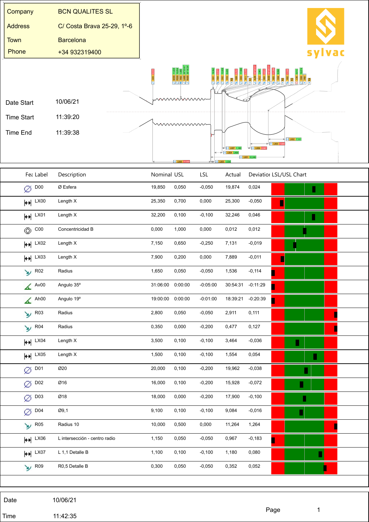| Company                | <b>BCN QUALITES SL</b>        |                  |         |            |                                                          |                          |                                |
|------------------------|-------------------------------|------------------|---------|------------|----------------------------------------------------------|--------------------------|--------------------------------|
| <b>Address</b>         | C/ Costa Brava 25-29, 1º-6    |                  |         |            |                                                          |                          |                                |
| <b>Town</b>            | <b>Barcelona</b>              |                  |         |            |                                                          |                          |                                |
| Phone                  | +34 932319400                 |                  |         |            |                                                          |                          | sylvac                         |
|                        |                               |                  |         |            |                                                          |                          |                                |
| Date Start             | 10/06/21                      |                  | mmmmm   |            |                                                          |                          |                                |
| <b>Time Start</b>      | 11:39:20                      |                  | wwwwww  |            |                                                          |                          |                                |
| <b>Time End</b>        | 11:39:38                      |                  |         |            |                                                          |                          | $\bigcup_{i=1}^{n}$ LX02 7,131 |
|                        |                               |                  |         |            | $+ 1,180$<br>$\left  \leftrightarrow \right $ LX04 3,464 | $\rightarrow$ LX06 0,967 | $\rightarrow$ LX03 7.8         |
|                        |                               |                  |         |            |                                                          | H LX01 32,24             |                                |
| Fea Label              | Description                   | Nominal USL      |         | LSL        | Actual                                                   |                          | Deviatior LSL/USL Chart        |
| $\varnothing$ D00      | Ø Esfera                      | 19,850           | 0,050   | $-0,050$   | 19,874                                                   | 0,024                    | П                              |
| $H$ LX00               | Length X                      | 25,350           | 0,700   | 0,000      | 25,300                                                   | $-0,050$                 | Γ                              |
| $H$ LX01               | Length X                      | 32,200           | 0,100   | $-0,100$   | 32,246                                                   | 0,046                    | П                              |
| $\circledcirc$ C00     | Concentricidad B              | 0,000            | 1,000   | 0,000      | 0,012                                                    | 0,012                    |                                |
| $H^{\parallel LX02}$   | Length X                      | 7,150            | 0,650   | $-0,250$   | 7,131                                                    | $-0,019$                 |                                |
| $\leftrightarrow$ LX03 | Length X                      | 7,900            | 0,200   | 0,000      | 7,889                                                    | $-0,011$                 | ı                              |
| $\frac{1}{2}$ R02      | Radius                        | 1,650            | 0,050   | $-0,050$   | 1,536                                                    | $-0,114$                 | ٦                              |
| $\triangle$ Av00       | Angulo 35°                    | 31:06:00 0:00:00 |         | $-0:05:00$ | 30:54:31 -0:11:29                                        |                          |                                |
| $\triangle$ Ah00       | Angulo 19°                    | 19:00:00         | 0:00:00 | $-0:01:00$ | 18:39:21                                                 | $-0:20:39$               | Π                              |
| $\frac{1}{2}$ R03      | Radius                        | 2,800            | 0,050   | $-0,050$   | 2,911                                                    | 0,111                    | L                              |
| $\frac{1}{2}$ R04      | Radius                        | 0,350            | 0,000   | $-0,200$   | 0,477                                                    | 0,127                    | L                              |
| $H$ <sup>LX04</sup>    | Length X                      | 3,500            | 0,100   | $-0,100$   | 3,464                                                    | $-0,036$                 | П                              |
| $H$ LX05               | Length X                      | 1,500            | 0,100   | $-0,100$   | 1,554                                                    | 0,054                    | E                              |
| $\varnothing$ DO1      | Ø20                           | 20,000           | 0,100   | $-0,200$   | 19,962                                                   | $-0,038$                 |                                |
| $\varnothing$ D02      | Ø16                           | 16,000           | 0,100   | $-0,200$   | 15,928                                                   | $-0,072$                 | Π                              |
| $\varnothing$ D03      | Ø18                           | 18,000           | 0,000   | $-0,200$   | 17,900                                                   | $-0,100$                 | П                              |
| $\varnothing$ DO4      | Ø9,1                          | 9,100            | 0,100   | $-0,100$   | 9,084                                                    | $-0,016$                 |                                |
| $\frac{1}{2}$ R05      | Radius 10                     | 10,000           | 0,500   | 0,000      | 11,264                                                   | 1,264                    | ı                              |
| $H$ LX06               | L intersección - centro radio | 1,150            | 0,050   | $-0,050$   | 0,967                                                    | $-0,183$                 | ▋                              |
| $H$ LX07               | L 1,1 Detalle B               | 1,100            | 0,100   | $-0,100$   | 1,180                                                    | 0,080                    |                                |
| $\frac{1}{2}$ R09      | R0,5 Detalle B                | 0,300            | 0,050   | $-0,050$   | 0,352                                                    | 0,052                    |                                |
|                        |                               |                  |         |            |                                                          |                          |                                |

Date 10/06/21

Time 11:42:35

Ϊ